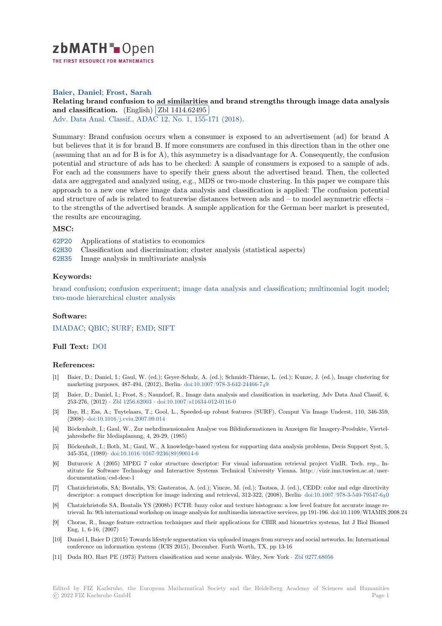

THE FIRST RESOURCE FOR MATHEMATICS

## **Baier, Daniel**; **Frost, Sarah**

# [R](https://zbmath.org/)elating brand confusion to ad similarities and brand strengths through image data analysis **and classification.** (English) Zbl 1414.62495

Adv. Data Anal. Classif., ADAC 12, No. 1, 155-171 (2018).

[Summary: Brand confusion occurs when a consumer is exposed to an advertisement \(ad\) for brand A](https://zbmath.org/1414.62495) [but believes that it is](https://zbmath.org/1414.62495) for brand [B. If more consum](https://zbmath.org/1414.62495)ers are confused in this direction than in the other one [\(assuming that an ad for B is for](https://zbmath.org/journals/?q=se:4917) [A\), this asymmetry is a dis](https://zbmath.org/?q=in:376714)advantage for A. Consequently, the confusion potential and structure of ads has to be checked: A sample of consumers is exposed to a sample of ads. For each ad the consumers have to specify their guess about the advertised brand. Then, the collected data are aggregated and analyzed using, e.g., MDS or two-mode clustering. In this paper we compare this approach to a new one where image data analysis and classification is applied: The confusion potential and structure of ads is related to featurewise distances between ads and – to model asymmetric effects – to the strengths of the advertised brands. A sample application for the German beer market is presented, the results are encouraging.

#### **MSC:**

- 62P20 Applications of statistics to economics
- 62H30 Classification and discrimination; cluster analysis (statistical aspects)
- 62H35 Image analysis in multivariate analysis

## **[Keyw](https://zbmath.org/classification/?q=cc:62P20)ords:**

[brand](https://zbmath.org/classification/?q=cc:62H30) confusion; confusion experiment; image data analysis and classification; multinomial logit model; [two-m](https://zbmath.org/classification/?q=cc:62H35)ode hierarchical cluster analysis

## **Software:**

[IMADAC;](https://zbmath.org/?q=ut:brand+confusion) QBIC; [SURF;](https://zbmath.org/?q=ut:confusion+experiment) EMD; SIFT

## **Full Text:** DOI

#### **[Referenc](https://swmath.org/software/9310)[es:](https://swmath.org/software/14899)**

- [1] Baier, D.; Daniel, I.; Gaul, W. (ed.); Geyer-Schulz, A. (ed.); Schmidt-Thieme, L. (ed.); Kunze, J. (ed.), Image clustering for marketin[g purp](https://dx.doi.org/10.1007/s11634-017-0282-1)oses, 487-494, (2012), Berlin*·* doi:10.1007/978-3-642-24466-749
- [2] Baier, D.; Daniel, I.; Frost, S.; Naundorf, R., Image data analysis and classification in marketing, Adv Data Anal Classif, 6, 253-276, (2012) *·* Zbl 1256.62003 *·* doi:10.1007/s11634-012-0116-0
- [3] Bay, H.; Ess, A.; Tuytelaars, T.; Gool, L., Speeded-up robust features (SURF), Comput Vis Image Underst, 110, 346-359, (2008)*·* doi:10.1016/j.cviu.2007.09.014
- [4] Böckenholt, I.; Gaul, W., Zur mehrdimensionalen Analyse von Bildinformationen in Anzeigen für Imagery-Produkte, Vierteljahreshefte für M[ediaplanung, 4,](https://zbmath.org/1256.62003)2[0-29, \(1985\)](https://dx.doi.org/10.1007/s11634-012-0116-0)
- [5] Böckenholt, I.; Both, M.; Gaul, W., A knowledge-based system for supporting data analysis problems, Decis Support Syst, 5, 345-354, (1989)*·* [doi:10.1016/0167-923](https://dx.doi.org/10.1016/j.cviu.2007.09.014)6(89)90014-6
- [6] Buturovic A (2005) MPEG 7 color structure descriptor: For visual information retrieval project VizIR. Tech. rep., Institute for Software Technology and Interactive Systems Technical University Vienna. http://vizir.ims.tuwien.ac.at/userdocumentation/csd-desc-1
- [7] Chatzichristofis, [SA; Boutalis, YS; Gasteratos, A. \(](https://dx.doi.org/10.1016/0167-9236(89)90014-6)ed.); Vincze, M. (ed.); Tsotsos, J. (ed.), CEDD: color and edge directivity descriptor: a compact description for image indexing and retrieval, 312-322, (2008), Berlin*·* doi:10.1007/978-3-540-79547-630
- [8] Chatzichristofis SA, Boutalis YS (2008b) FCTH: fuzzy color and texture histogram: a low level feature for accurate image retrieval. In: 9th international workshop on image analysis for multimedia interactive services, pp 191-196. doi:10.1109/WIAMIS.2008.24
- [9] Choras, R., Image feature extraction techniques and their applications for CBIR and biometrics systems, Int J Biol Biomed Eng, 1, 6-16, (2007)
- [10] Daniel I, Baier D (2015) Towards lifestyle segmentation via uploaded images from surveys and social networks. In: International conference on information systems (ICIS 2015), December. Forth Worth, TX, pp 13-16
- [11] Duda RO, Hart PE (1973) Pattern classification and scene analysis. Wiley, New York *·* Zbl 0277.68056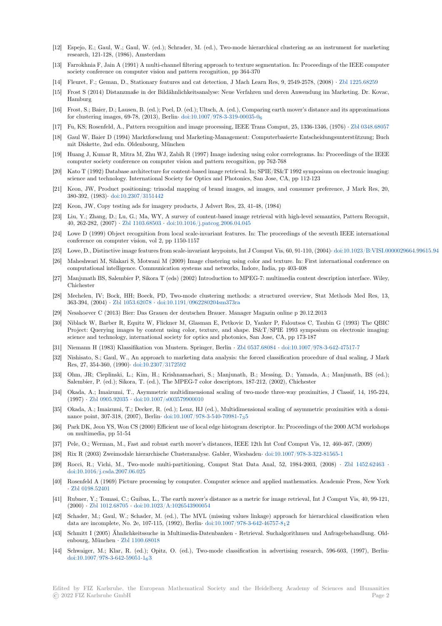- [12] Espejo, E.; Gaul, W.; Gaul, W. (ed.); Schrader, M. (ed.), Two-mode hierarchical clustering as an instrument for marketing research, 121-128, (1986), Amsterdam
- [13] Farrokhnia F, Jain A (1991) A multi-channel filtering approach to texture segmentation. In: Proceedings of the IEEE computer society conference on computer vision and pattern recognition, pp 364-370
- [14] Fleuret, F.; Geman, D., Stationary features and cat detection, J Mach Learn Res, 9, 2549-2578, (2008) *·* Zbl 1225.68259
- [15] Frost S (2014) Distanzmaße in der Bildähnlichkeitsanalyse: Neue Verfahren und deren Anwendung im Marketing. Dr. Kovac, Hamburg
- [16] Frost, S.; Baier, D.; Lausen, B. (ed.); Poel, D. (ed.); Ultsch, A. (ed.), Comparing earth mover's distance and its approximations for clustering images, 69-78, (2013), Berlin*·* doi:10.1007/978-3-319-00035-0<sup>6</sup>
- [17] Fu, KS; Rosenfeld, A., Pattern recognition and image processing, IEEE Trans Comput, 25, 1336-1346, (1976) *·* Zbl 0348.68057
- [18] Gaul W, Baier D (1994) Marktforschung und Marketing-Management: Computerbasierte Entscheidungsunterstützung; Buch mit Diskette, 2nd edn. Oldenbourg, München
- [19] Huang J, Kumar R, Mitra M, Zhu WJ, Zabi[h R \(1997\) Image indexing using](https://dx.doi.org/10.1007/978-3-319-00035-0_6) color correlograms. In: Proceedings of the IEEE computer society conference on computer vision and pattern recognition, pp 762-768
- [20] Kato T (1992) Database architecture for content-based image retrieval. In; SPIE/IS&T 1992 symposium on electronic imaging: science and technology. International Society for Optics and Photonics, San Jose, CA, pp 112-123
- [21] Keon, JW, Product positioning: trinodal mapping of brand images, ad images, and consumer preference, J Mark Res, 20, 380-392, (1983)*·* doi:10.2307/3151442
- [22] Keon, JW, Copy testing ads for imagery products, J Advert Res, 23, 41-48, (1984)
- [23] Liu, Y.; Zhang, D.; Lu, G.; Ma, WY, A survey of content-based image retrieval with high-level semantics, Pattern Recognit, 40, 262-282, (2007) *·* Zbl 1103.68503 *·* doi:10.1016/j.patcog.2006.04.045
- [24] Lowe D (1999) [Object recognition fro](https://dx.doi.org/10.2307/3151442)m local scale-invariant features. In: The proceedings of the seventh IEEE international conference on computer vision, vol 2, pp 1150-1157
- [25] Lowe, D., Distinctive image features from scale-invariant keypoints, Int J Comput Vis, 60, 91-110, (2004)*·* doi:10.1023/B:VISI.0000029664.99615.94
- [26] Maheshwari M, Silak[ari S, Motwani](https://zbmath.org/1103.68503) [M \(2009\) Image clustering using co](https://dx.doi.org/10.1016/j.patcog.2006.04.045)lor and texture. In: First international conference on computational intelligence. Communication systems and networks, Indore, India, pp 403-408
- [27] Manjunath BS, Salembier P, Sikora T (eds) (2002) Introduction to MPEG-7: multimedia content description interface. Wiley, Chichester
- [28] Mechelen, IV; Bock, HH; Boeck, PD, Two-mode clustering methods: a structured overview, Stat Methods Med Res, 13, 363-394, (2004) *·* Zbl 1053.62078 *·* doi:10.1191/0962280204sm373ra
- [29] Nesshoever C (2013) Bier: Das Grauen der deutschen Brauer. Manager Magazin online p 20.12.2013
- [30] Niblack W, Barber R, Equitz W, Flickner M, Glasman E, Petkovic D, Yanker P, Faloutsos C, Taubin G (1993) The QBIC Project: Querying images by content using color, texture, and shape. IS&T/SPIE 1993 symposium on electronic imaging: science and techn[ology, internati](https://zbmath.org/1053.62078)o[nal society for optics and photoni](https://dx.doi.org/10.1191/0962280204sm373ra)cs, San Jose, CA, pp 173-187
- [31] Niemann H (1983) Klassifikation von Mustern. Springer, Berlin *·* Zbl 0537.68084 *·* doi:10.1007/978-3-642-47517-7
- [32] Nishisato, S.; Gaul, W., An approach to marketing data analysis: the forced classification procedure of dual scaling, J Mark Res, 27, 354-360, (1990)*·* doi:10.2307/3172592
- [33] Ohm, JR; Cieplinski, L.; Kim, H.; Krishnamachari, S.; Manjunath, B.; Messing, D.; Yamada, A.; Manjunath, BS (ed.); Salembier, P. (ed.); Sikora, T. (ed.), The MPEG-7 color descripto[rs, 187-212, \(20](https://zbmath.org/0537.68084)0[2\), Chichester](https://dx.doi.org/10.1007/978-3-642-47517-7)
- [34] Okada, A.; Imaizumi, T., Asymmetric multidimensional scaling of two-mode three-way proximities, J Classif, 14, 195-224, (1997) *·* Zbl 0905.92035 *·* [doi:10.1007/s003579](https://dx.doi.org/10.2307/3172592)900010
- [35] Okada, A.; Imaizumi, T.; Decker, R. (ed.); Lenz, HJ (ed.), Multidimensional scaling of asymmetric proximities with a dominance point, 307-318, (2007), Berlin*·* doi:10.1007/978-3-540-70981-735
- [36] Park DK, Jeon YS, Won CS (2000) Efficient use of local edge histogram descriptor. In: Proceedings of the 2000 ACM workshops on multi[media, pp 51-54](https://zbmath.org/0905.92035)
- [37] Pele, O.; Werman, M., Fast and robust earth mover's distances, IEEE 12th Int Conf Comput Vis, 12, 460-467, (2009)
- [38] Rix R (2003) Zweimodale hierarchisc[he Clusteranalyse. Gabler, Wiesb](https://dx.doi.org/10.1007/978-3-540-70981-7_35)aden*·* doi:10.1007/978-3-322-81565-1
- [39] Rocci, R.; Vichi, M., Two-mode multi-partitioning, Comput Stat Data Anal, 52, 1984-2003, (2008) *·* Zbl 1452.62463 *·* doi:10.1016/j.csda.2007.06.025
- [40] Rosenfeld A (1969) Picture processing by computer. Computer science and applied mathematics. Academic Press, New York *·* Zbl 0198.52401
- [41] Rubner, Y.; Tomasi, C.; Guibas, L., The earth mover's distance as a metric for image retrieval, Int J Comp[ut Vis, 40, 99-12](https://zbmath.org/1452.62463)1, (2000) *·* [Zbl 1012.68705](https://dx.doi.org/10.1016/j.csda.2007.06.025) *·* doi:10.1023/A:1026543900054
- [42] Schader, M.; Gaul, W.; Schader, M. (ed.), The MVL (missing values linkage) approach for hierarchical classification when d[ata are incompl](https://zbmath.org/0198.52401)ete, No. 2e, 107-115, (1992), Berlin*·* doi:10.1007/978-3-642-46757-812
- [43] Schmitt I (2005) Ähnlichkeitssuche in Multimedia-Datenbanken Retrieval. Suchalgorithmen und Anfragebehandlung. Oldenbourg, [München](https://zbmath.org/1012.68705) *·* Zbl [1100.68018](https://dx.doi.org/10.1023/A:1026543900054)
- [44] Schwaiger, M.; Klar, R. (ed.); Opitz, O. (ed.), Two-mode classification in advertising research, 596-603, (1997), Berlin*·* doi:10.1007/978-3-642-59051-1 $_63$